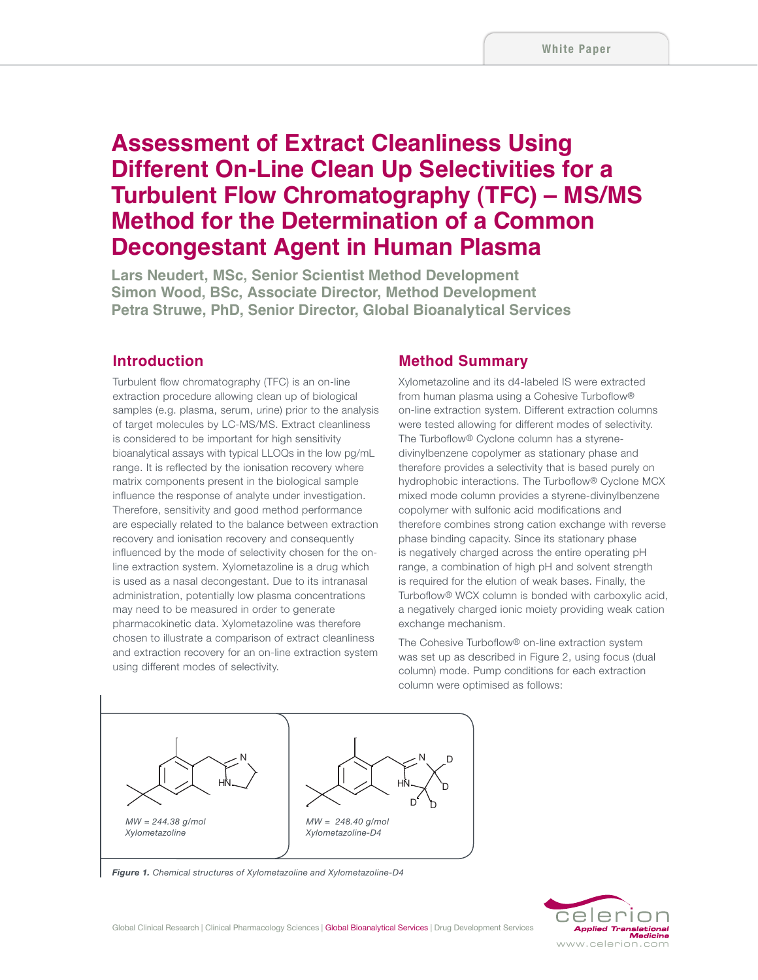# **Assessment of Extract Cleanliness Using Different On-Line Clean Up Selectivities for a Turbulent Flow Chromatography (TFC) – MS/MS Method for the Determination of a Common Decongestant Agent in Human Plasma**

**Lars Neudert, MSc, Senior Scientist Method Development Simon Wood, BSc, Associate Director, Method Development Petra Struwe, PhD, Senior Director, Global Bioanalytical Services**

# **Introduction**

Turbulent flow chromatography (TFC) is an on-line extraction procedure allowing clean up of biological samples (e.g. plasma, serum, urine) prior to the analysis of target molecules by LC-MS/MS. Extract cleanliness is considered to be important for high sensitivity bioanalytical assays with typical LLOQs in the low pg/mL range. It is reflected by the ionisation recovery where matrix components present in the biological sample influence the response of analyte under investigation. Therefore, sensitivity and good method performance are especially related to the balance between extraction recovery and ionisation recovery and consequently influenced by the mode of selectivity chosen for the online extraction system. Xylometazoline is a drug which is used as a nasal decongestant. Due to its intranasal administration, potentially low plasma concentrations may need to be measured in order to generate pharmacokinetic data. Xylometazoline was therefore chosen to illustrate a comparison of extract cleanliness and extraction recovery for an on-line extraction system using different modes of selectivity.

### **Method Summary**

Xylometazoline and its d4-labeled IS were extracted from human plasma using a Cohesive Turboflow® on-line extraction system. Different extraction columns were tested allowing for different modes of selectivity. The Turboflow® Cyclone column has a styrenedivinylbenzene copolymer as stationary phase and therefore provides a selectivity that is based purely on hydrophobic interactions. The Turboflow® Cyclone MCX mixed mode column provides a styrene-divinylbenzene copolymer with sulfonic acid modifications and therefore combines strong cation exchange with reverse phase binding capacity. Since its stationary phase is negatively charged across the entire operating pH range, a combination of high pH and solvent strength is required for the elution of weak bases. Finally, the Turboflow® WCX column is bonded with carboxylic acid, a negatively charged ionic moiety providing weak cation exchange mechanism.

The Cohesive Turboflow® on-line extraction system was set up as described in Figure 2, using focus (dual column) mode. Pump conditions for each extraction column were optimised as follows:



*Figure 1. Chemical structures of Xylometazoline and Xylometazoline-D4*

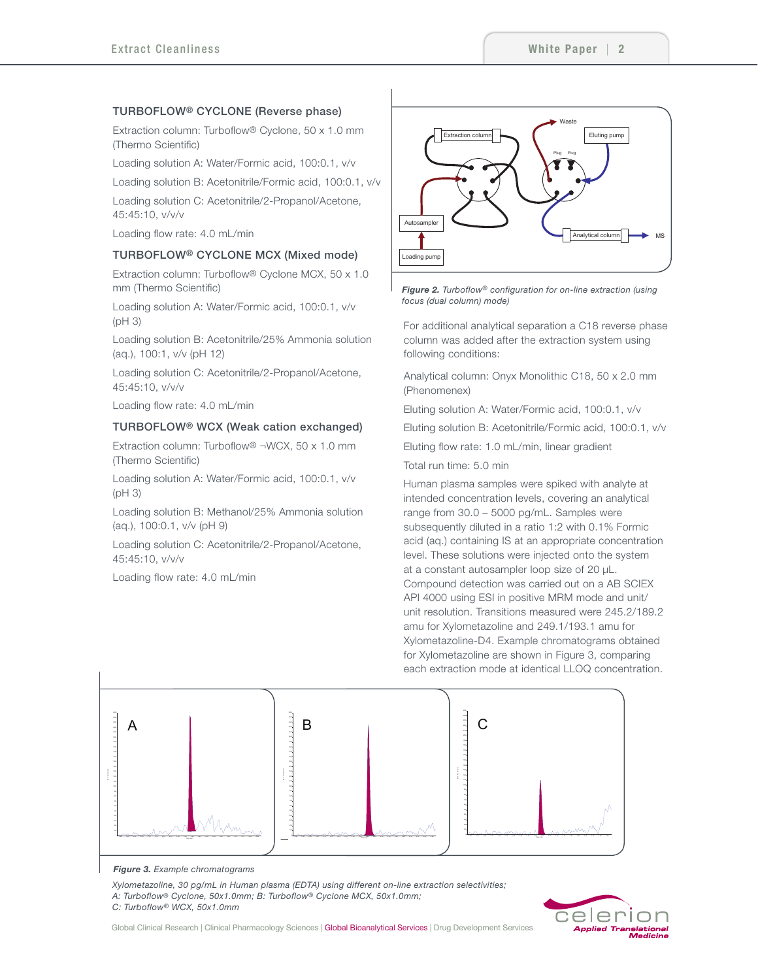### TURBOFLOW® CYCLONE (Reverse phase)

Extraction column: Turboflow® Cyclone, 50 x 1.0 mm (Thermo Scientific)

Loading solution A: Water/Formic acid, 100:0.1, v/v

Loading solution B: Acetonitrile/Formic acid, 100:0.1, v/v

Loading solution C: Acetonitrile/2-Propanol/Acetone, 45:45:10, v/v/v

Loading flow rate: 4.0 mL/min

#### TURBOFLOW® CYCLONE MCX (Mixed mode)

Extraction column: Turboflow® Cyclone MCX, 50 x 1.0 mm (Thermo Scientific)

Loading solution A: Water/Formic acid, 100:0.1, v/v (pH 3)

Loading solution B: Acetonitrile/25% Ammonia solution (aq.), 100:1, v/v (pH 12)

Loading solution C: Acetonitrile/2-Propanol/Acetone, 45:45:10, v/v/v

Loading flow rate: 4.0 mL/min

### TURBOFLOW® WCX (Weak cation exchanged)

Extraction column: Turboflow® ¬WCX, 50 x 1.0 mm (Thermo Scientific)

Loading solution A: Water/Formic acid, 100:0.1, v/v  $(nH<sub>3</sub>)$ 

Loading solution B: Methanol/25% Ammonia solution (aq.), 100:0.1, v/v (pH 9)

Loading solution C: Acetonitrile/2-Propanol/Acetone, 45:45:10, v/v/v

Loading flow rate: 4.0 mL/min



*Figure 2. Turboflow® configuration for on-line extraction (using focus (dual column) mode)*

For additional analytical separation a C18 reverse phase column was added after the extraction system using following conditions:

Analytical column: Onyx Monolithic C18, 50 x 2.0 mm (Phenomenex)

Eluting solution A: Water/Formic acid, 100:0.1, v/v

Eluting solution B: Acetonitrile/Formic acid, 100:0.1, v/v

Eluting flow rate: 1.0 mL/min, linear gradient

Total run time: 5.0 min

Human plasma samples were spiked with analyte at intended concentration levels, covering an analytical range from 30.0 – 5000 pg/mL. Samples were subsequently diluted in a ratio 1:2 with 0.1% Formic acid (aq.) containing IS at an appropriate concentration level. These solutions were injected onto the system at a constant autosampler loop size of 20 μL. Compound detection was carried out on a AB SCIEX API 4000 using ESI in positive MRM mode and unit/ unit resolution. Transitions measured were 245.2/189.2 amu for Xylometazoline and 249.1/193.1 amu for Xylometazoline-D4. Example chromatograms obtained for Xylometazoline are shown in Figure 3, comparing each extraction mode at identical LLOQ concentration.



#### *Figure 3. Example chromatograms*

*Xylometazoline, 30 pg/mL in Human plasma (EDTA) using different on-line extraction selectivities; A: Turboflow® Cyclone, 50x1.0mm; B: Turboflow® Cyclone MCX, 50x1.0mm; C: Turboflow® WCX, 50x1.0mm*



Global Clinical Research | Clinical Pharmacology Sciences | Global Bioanalytical Services | Drug Development Services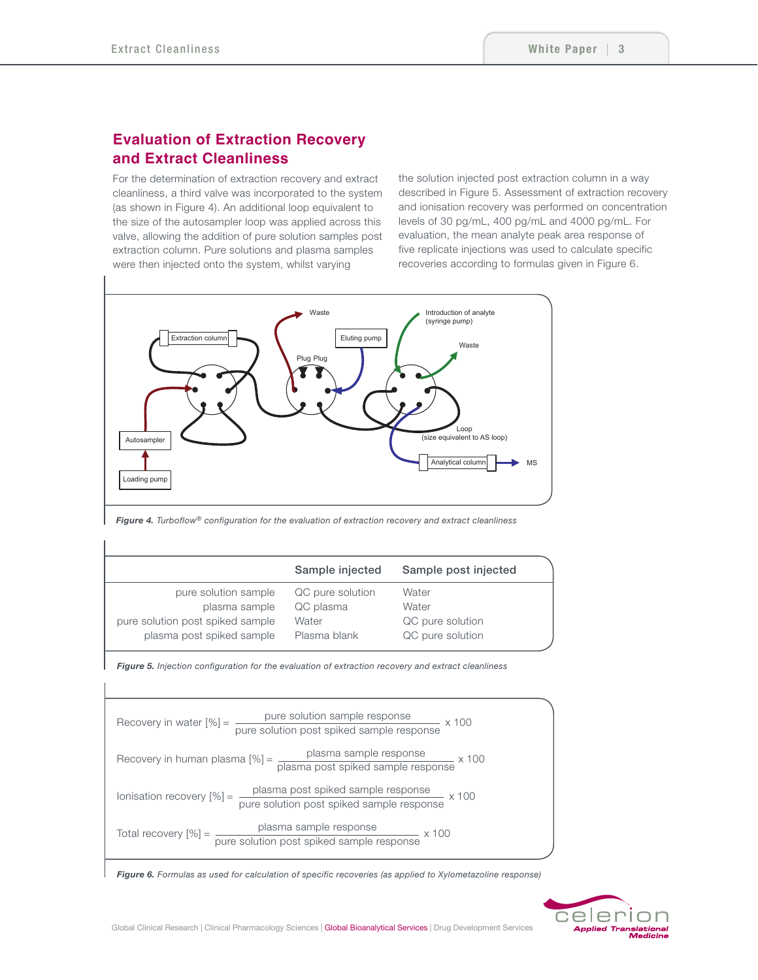# **Evaluation of Extraction Recovery and Extract Cleanliness**

For the determination of extraction recovery and extract cleanliness, a third valve was incorporated to the system (as shown in Figure 4). An additional loop equivalent to the size of the autosampler loop was applied across this valve, allowing the addition of pure solution samples post extraction column. Pure solutions and plasma samples were then injected onto the system, whilst varying

the solution injected post extraction column in a way described in Figure 5. Assessment of extraction recovery and ionisation recovery was performed on concentration levels of 30 pg/mL, 400 pg/mL and 4000 pg/mL. For evaluation, the mean analyte peak area response of five replicate injections was used to calculate specific recoveries according to formulas given in Figure 6.



*Figure 4. Turboflow® configuration for the evaluation of extraction recovery and extract cleanliness*

|                                  | Sample injected  | Sample post injected |  |
|----------------------------------|------------------|----------------------|--|
| pure solution sample             | QC pure solution | Water                |  |
| plasma sample                    | QC plasma        | Water                |  |
| pure solution post spiked sample | Water            | QC pure solution     |  |
| plasma post spiked sample        | Plasma blank     | QC pure solution     |  |
|                                  |                  |                      |  |

*Figure 5. Injection configuration for the evaluation of extraction recovery and extract cleanliness*



*Figure 6. Formulas as used for calculation of specific recoveries (as applied to Xylometazoline response)*

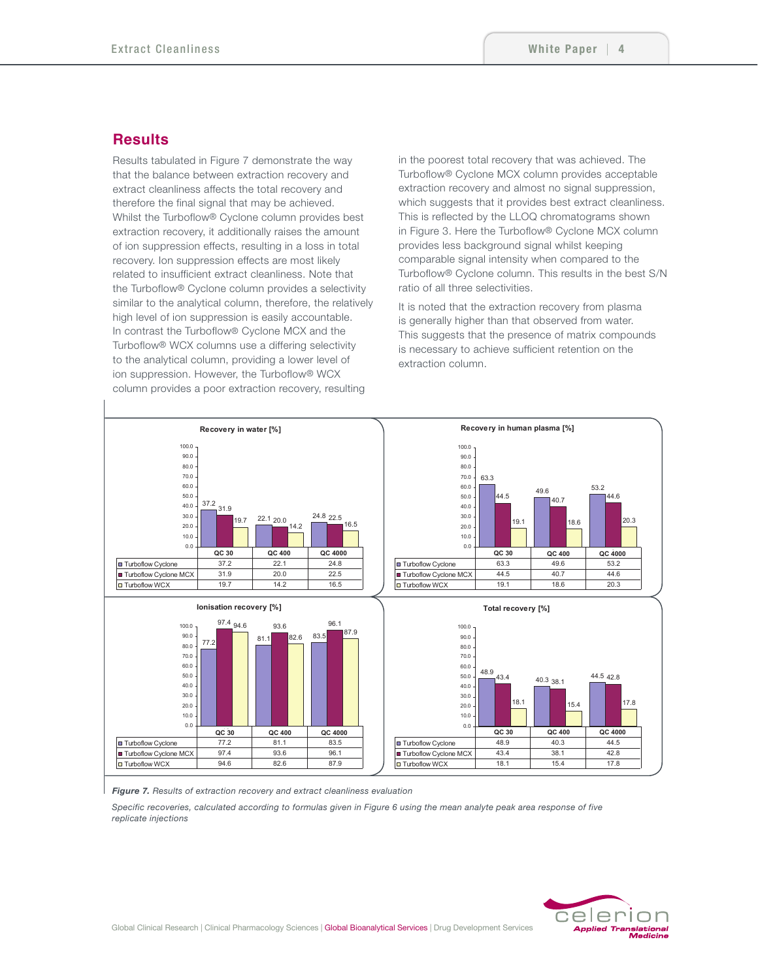## **Results**

Results tabulated in Figure 7 demonstrate the way that the balance between extraction recovery and extract cleanliness affects the total recovery and therefore the final signal that may be achieved. Whilst the Turboflow® Cyclone column provides best extraction recovery, it additionally raises the amount of ion suppression effects, resulting in a loss in total recovery. Ion suppression effects are most likely related to insufficient extract cleanliness. Note that the Turboflow® Cyclone column provides a selectivity similar to the analytical column, therefore, the relatively high level of ion suppression is easily accountable. In contrast the Turboflow® Cyclone MCX and the Turboflow® WCX columns use a differing selectivity to the analytical column, providing a lower level of ion suppression. However, the Turboflow® WCX column provides a poor extraction recovery, resulting

in the poorest total recovery that was achieved. The Turboflow® Cyclone MCX column provides acceptable extraction recovery and almost no signal suppression, which suggests that it provides best extract cleanliness. This is reflected by the LLOQ chromatograms shown in Figure 3. Here the Turboflow® Cyclone MCX column provides less background signal whilst keeping comparable signal intensity when compared to the Turboflow® Cyclone column. This results in the best S/N ratio of all three selectivities.

It is noted that the extraction recovery from plasma is generally higher than that observed from water. This suggests that the presence of matrix compounds is necessary to achieve sufficient retention on the extraction column.



*Figure 7. Results of extraction recovery and extract cleanliness evaluation*

*Specific recoveries, calculated according to formulas given in Figure 6 using the mean analyte peak area response of five replicate injections*

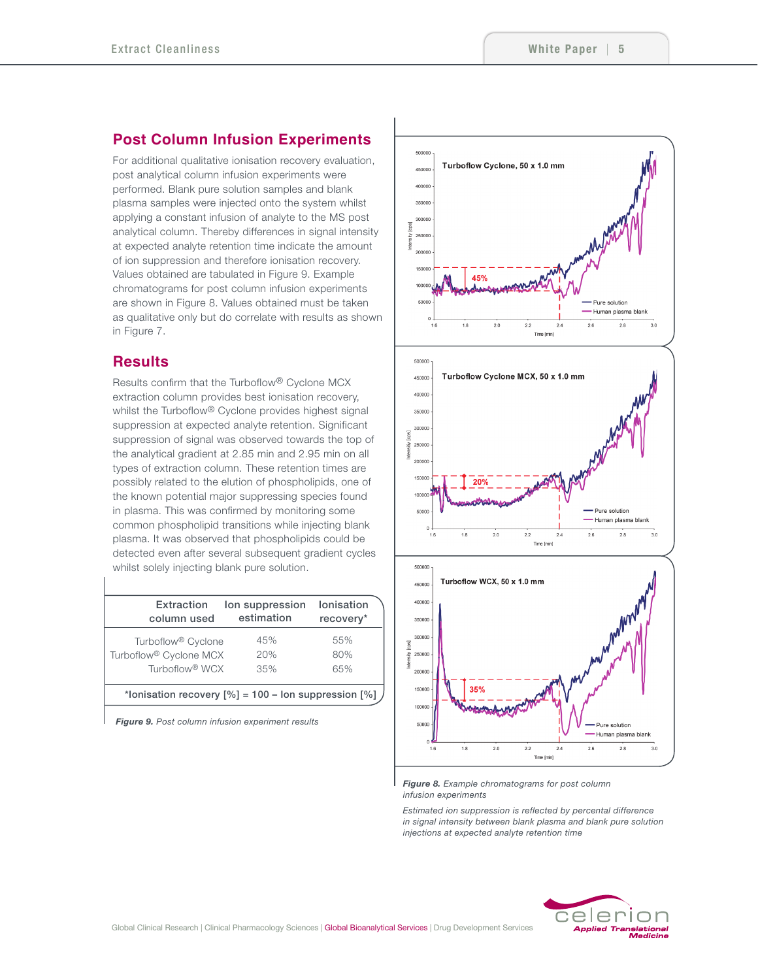# **Post Column Infusion Experiments**

For additional qualitative ionisation recovery evaluation, post analytical column infusion experiments were performed. Blank pure solution samples and blank plasma samples were injected onto the system whilst applying a constant infusion of analyte to the MS post analytical column. Thereby differences in signal intensity at expected analyte retention time indicate the amount of ion suppression and therefore ionisation recovery. Values obtained are tabulated in Figure 9. Example chromatograms for post column infusion experiments are shown in Figure 8. Values obtained must be taken as qualitative only but do correlate with results as shown in Figure 7.

# **Results**

Results confirm that the Turboflow® Cyclone MCX extraction column provides best ionisation recovery, whilst the Turboflow® Cyclone provides highest signal suppression at expected analyte retention. Significant suppression of signal was observed towards the top of the analytical gradient at 2.85 min and 2.95 min on all types of extraction column. These retention times are possibly related to the elution of phospholipids, one of the known potential major suppressing species found in plasma. This was confirmed by monitoring some common phospholipid transitions while injecting blank plasma. It was observed that phospholipids could be detected even after several subsequent gradient cycles whilst solely injecting blank pure solution.

| Extraction<br>column used                                       | lon suppression<br>estimation | Ionisation<br>recovery* |
|-----------------------------------------------------------------|-------------------------------|-------------------------|
| Turboflow <sup>®</sup> Cyclone                                  | 45%                           | 55%                     |
| Turboflow <sup>®</sup> Cyclone MCX                              | 20%                           | 80%                     |
| Turboflow <sup>®</sup> WCX                                      | 35%                           | 65%                     |
| *lonisation recovery $[\%] = 100 - \text{lon suppression} [\%]$ |                               |                         |
|                                                                 |                               |                         |

*Figure 9. Post column infusion experiment results* 



*Figure 8. Example chromatograms for post column infusion experiments* 

*Estimated ion suppression is reflected by percental difference in signal intensity between blank plasma and blank pure solution injections at expected analyte retention time*